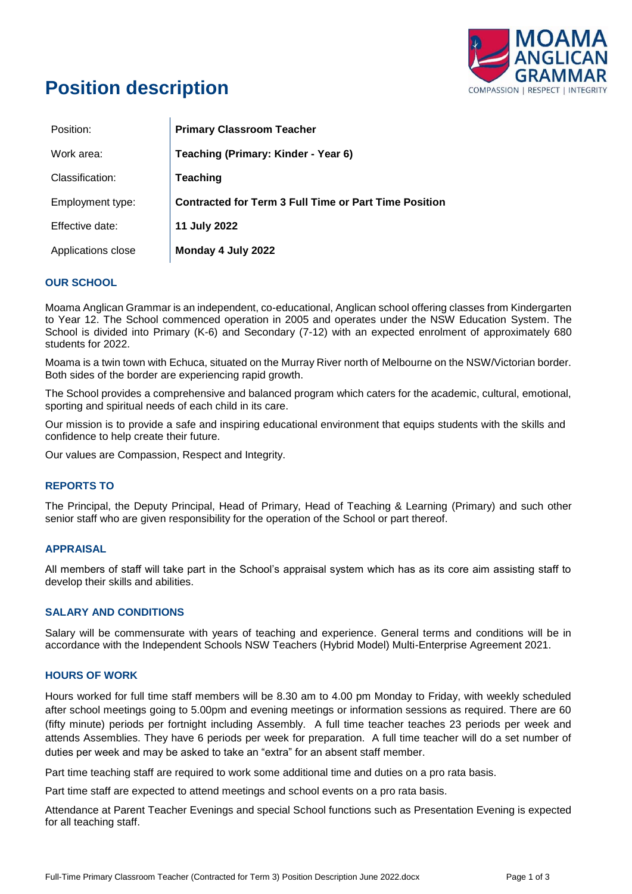

# **Position description**

| Position:          | <b>Primary Classroom Teacher</b>                             |
|--------------------|--------------------------------------------------------------|
| Work area:         | Teaching (Primary: Kinder - Year 6)                          |
| Classification:    | <b>Teaching</b>                                              |
| Employment type:   | <b>Contracted for Term 3 Full Time or Part Time Position</b> |
| Effective date:    | 11 July 2022                                                 |
| Applications close | Monday 4 July 2022                                           |

# **OUR SCHOOL**

Moama Anglican Grammar is an independent, co-educational, Anglican school offering classes from Kindergarten to Year 12. The School commenced operation in 2005 and operates under the NSW Education System. The School is divided into Primary (K-6) and Secondary (7-12) with an expected enrolment of approximately 680 students for 2022.

Moama is a twin town with Echuca, situated on the Murray River north of Melbourne on the NSW/Victorian border. Both sides of the border are experiencing rapid growth.

The School provides a comprehensive and balanced program which caters for the academic, cultural, emotional, sporting and spiritual needs of each child in its care.

Our mission is to provide a safe and inspiring educational environment that equips students with the skills and confidence to help create their future.

Our values are Compassion, Respect and Integrity.

# **REPORTS TO**

The Principal, the Deputy Principal, Head of Primary, Head of Teaching & Learning (Primary) and such other senior staff who are given responsibility for the operation of the School or part thereof.

# **APPRAISAL**

All members of staff will take part in the School's appraisal system which has as its core aim assisting staff to develop their skills and abilities.

## **SALARY AND CONDITIONS**

Salary will be commensurate with years of teaching and experience. General terms and conditions will be in accordance with the Independent Schools NSW Teachers (Hybrid Model) Multi-Enterprise Agreement 2021.

## **HOURS OF WORK**

Hours worked for full time staff members will be 8.30 am to 4.00 pm Monday to Friday, with weekly scheduled after school meetings going to 5.00pm and evening meetings or information sessions as required. There are 60 (fifty minute) periods per fortnight including Assembly. A full time teacher teaches 23 periods per week and attends Assemblies. They have 6 periods per week for preparation. A full time teacher will do a set number of duties per week and may be asked to take an "extra" for an absent staff member.

Part time teaching staff are required to work some additional time and duties on a pro rata basis.

Part time staff are expected to attend meetings and school events on a pro rata basis.

Attendance at Parent Teacher Evenings and special School functions such as Presentation Evening is expected for all teaching staff.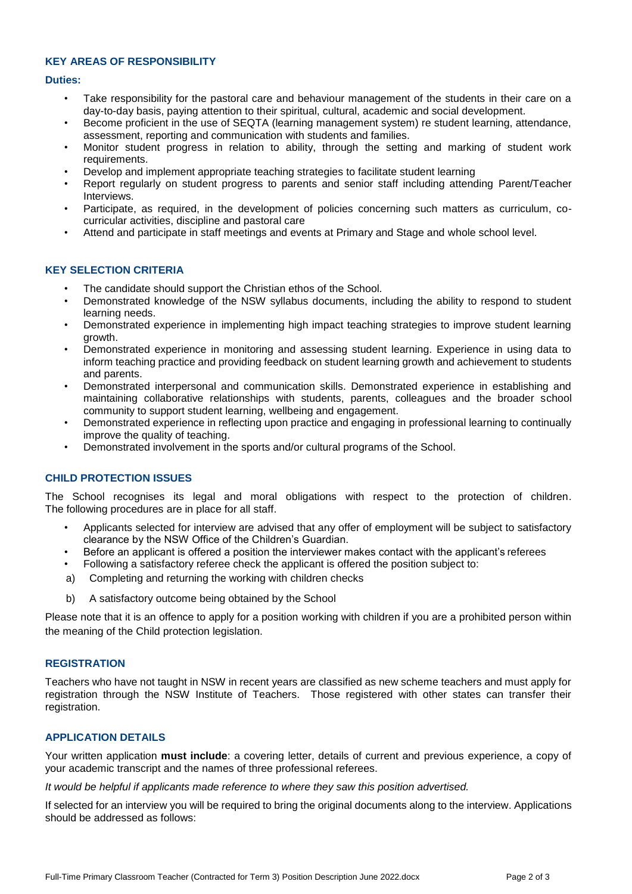## **KEY AREAS OF RESPONSIBILITY**

#### **Duties:**

- Take responsibility for the pastoral care and behaviour management of the students in their care on a day-to-day basis, paying attention to their spiritual, cultural, academic and social development.
- Become proficient in the use of SEQTA (learning management system) re student learning, attendance, assessment, reporting and communication with students and families.
- Monitor student progress in relation to ability, through the setting and marking of student work requirements.
- Develop and implement appropriate teaching strategies to facilitate student learning
- Report regularly on student progress to parents and senior staff including attending Parent/Teacher Interviews.
- Participate, as required, in the development of policies concerning such matters as curriculum, cocurricular activities, discipline and pastoral care
- Attend and participate in staff meetings and events at Primary and Stage and whole school level.

## **KEY SELECTION CRITERIA**

- The candidate should support the Christian ethos of the School.
- Demonstrated knowledge of the NSW syllabus documents, including the ability to respond to student learning needs.
- Demonstrated experience in implementing high impact teaching strategies to improve student learning growth.
- Demonstrated experience in monitoring and assessing student learning. Experience in using data to inform teaching practice and providing feedback on student learning growth and achievement to students and parents.
- Demonstrated interpersonal and communication skills. Demonstrated experience in establishing and maintaining collaborative relationships with students, parents, colleagues and the broader school community to support student learning, wellbeing and engagement.
- Demonstrated experience in reflecting upon practice and engaging in professional learning to continually improve the quality of teaching.
- Demonstrated involvement in the sports and/or cultural programs of the School.

# **CHILD PROTECTION ISSUES**

The School recognises its legal and moral obligations with respect to the protection of children. The following procedures are in place for all staff.

- Applicants selected for interview are advised that any offer of employment will be subject to satisfactory clearance by the NSW Office of the Children's Guardian.
- Before an applicant is offered a position the interviewer makes contact with the applicant's referees
- Following a satisfactory referee check the applicant is offered the position subject to:
- a) Completing and returning the working with children checks
- b) A satisfactory outcome being obtained by the School

Please note that it is an offence to apply for a position working with children if you are a prohibited person within the meaning of the Child protection legislation.

## **REGISTRATION**

Teachers who have not taught in NSW in recent years are classified as new scheme teachers and must apply for registration through the NSW Institute of Teachers. Those registered with other states can transfer their registration.

# **APPLICATION DETAILS**

Your written application **must include**: a covering letter, details of current and previous experience, a copy of your academic transcript and the names of three professional referees.

*It would be helpful if applicants made reference to where they saw this position advertised.* 

If selected for an interview you will be required to bring the original documents along to the interview. Applications should be addressed as follows: